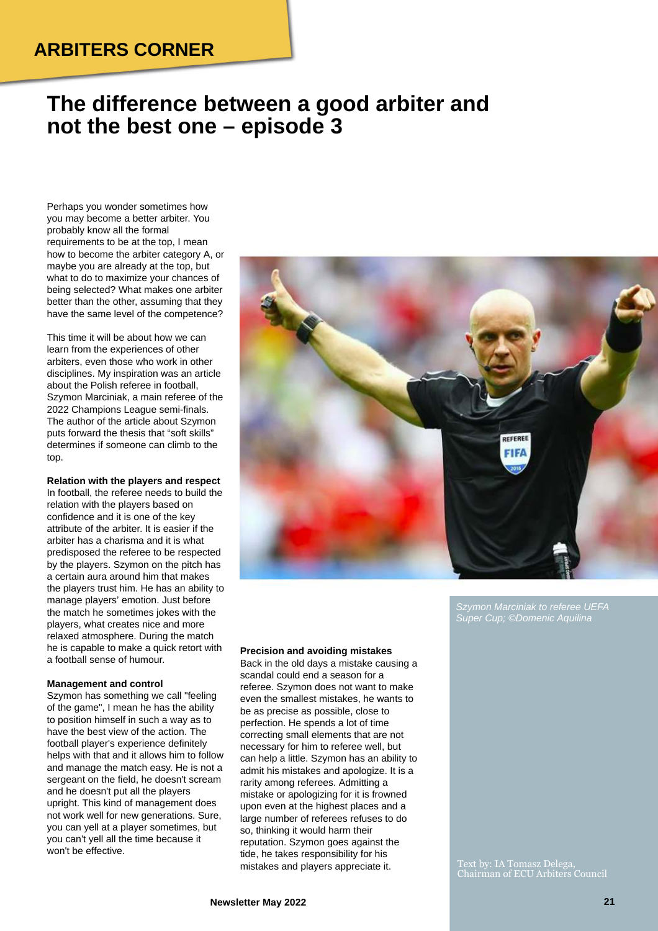## **ARBITERS CORNER**

# **The difference between a good arbiter and not the best one – episode 3**

Perhaps you wonder sometimes how you may become a better arbiter. You probably know all the formal requirements to be at the top, I mean how to become the arbiter category A, or maybe you are already at the top, but what to do to maximize your chances of being selected? What makes one arbiter better than the other, assuming that they have the same level of the competence?

This time it will be about how we can learn from the experiences of other arbiters, even those who work in other disciplines. My inspiration was an article about the Polish referee in football, Szymon Marciniak, a main referee of the 2022 Champions League semi-finals. The author of the article about Szymon puts forward the thesis that "soft skills" determines if someone can climb to the top.

**Relation with the players and respect** In football, the referee needs to build the relation with the players based on confidence and it is one of the key attribute of the arbiter. It is easier if the arbiter has a charisma and it is what predisposed the referee to be respected by the players. Szymon on the pitch has a certain aura around him that makes the players trust him. He has an ability to manage players' emotion. Just before the match he sometimes jokes with the players, what creates nice and more relaxed atmosphere. During the match he is capable to make a quick retort with a football sense of humour.

#### **Management and control**

Szymon has something we call "feeling of the game", I mean he has the ability to position himself in such a way as to have the best view of the action. The football player's experience definitely helps with that and it allows him to follow and manage the match easy. He is not a sergeant on the field, he doesn't scream and he doesn't put all the players upright. This kind of management does not work well for new generations. Sure, you can yell at a player sometimes, but you can't yell all the time because it won't be effective.



*Szymon Marciniak to referee UEFA Super Cup; ©Domenic Aquilina*

Text by: IA Tomasz Delega, Chairman of ECU Arbiters Council

**Precision and avoiding mistakes** Back in the old days a mistake causing a scandal could end a season for a referee. Szymon does not want to make even the smallest mistakes, he wants to be as precise as possible, close to perfection. He spends a lot of time correcting small elements that are not necessary for him to referee well, but can help a little. Szymon has an ability to admit his mistakes and apologize. It is a rarity among referees. Admitting a mistake or apologizing for it is frowned upon even at the highest places and a large number of referees refuses to do so, thinking it would harm their reputation. Szymon goes against the tide, he takes responsibility for his mistakes and players appreciate it.